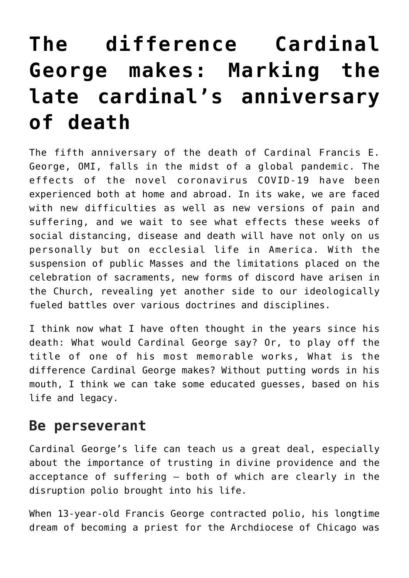## **[The difference Cardinal](https://www.osvnews.com/2020/04/16/the-difference-cardinal-george-makes-marking-the-late-cardinals-anniversary-of-death/) [George makes: Marking the](https://www.osvnews.com/2020/04/16/the-difference-cardinal-george-makes-marking-the-late-cardinals-anniversary-of-death/) [late cardinal's anniversary](https://www.osvnews.com/2020/04/16/the-difference-cardinal-george-makes-marking-the-late-cardinals-anniversary-of-death/) [of death](https://www.osvnews.com/2020/04/16/the-difference-cardinal-george-makes-marking-the-late-cardinals-anniversary-of-death/)**

The fifth anniversary of the death of Cardinal Francis E. George, OMI, falls in the midst of a global pandemic. The effects of the novel coronavirus COVID-19 have been experienced both at home and abroad. In its wake, we are faced with new difficulties as well as new versions of pain and suffering, and we wait to see what effects these weeks of social distancing, disease and death will have not only on us personally but on ecclesial life in America. With the suspension of public Masses and the limitations placed on the celebration of sacraments, new forms of discord have arisen in the Church, revealing yet another side to our ideologically fueled battles over various doctrines and disciplines.

I think now what I have often thought in the years since his death: What would Cardinal George say? Or, to play off the title of one of his most memorable works, What is the difference Cardinal George makes? Without putting words in his mouth, I think we can take some educated guesses, based on his life and legacy.

## **Be perseverant**

Cardinal George's life can teach us a great deal, especially about the importance of trusting in divine providence and the acceptance of suffering — both of which are clearly in the disruption polio brought into his life.

When 13-year-old Francis George contracted polio, his longtime dream of becoming a priest for the Archdiocese of Chicago was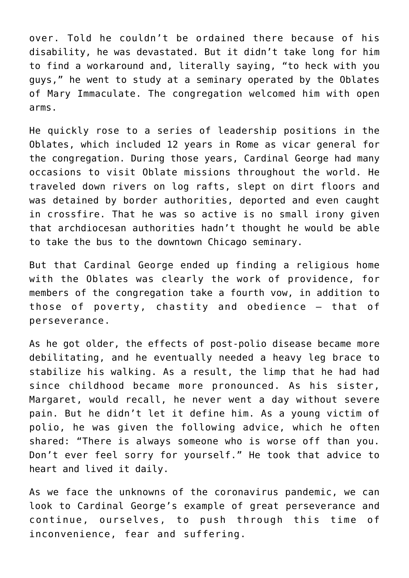over. Told he couldn't be ordained there because of his disability, he was devastated. But it didn't take long for him to find a workaround and, literally saying, "to heck with you guys," he went to study at a seminary operated by the Oblates of Mary Immaculate. The congregation welcomed him with open arms.

He quickly rose to a series of leadership positions in the Oblates, which included 12 years in Rome as vicar general for the congregation. During those years, Cardinal George had many occasions to visit Oblate missions throughout the world. He traveled down rivers on log rafts, slept on dirt floors and was detained by border authorities, deported and even caught in crossfire. That he was so active is no small irony given that archdiocesan authorities hadn't thought he would be able to take the bus to the downtown Chicago seminary.

But that Cardinal George ended up finding a religious home with the Oblates was clearly the work of providence, for members of the congregation take a fourth vow, in addition to those of poverty, chastity and obedience — that of perseverance.

As he got older, the effects of post-polio disease became more debilitating, and he eventually needed a heavy leg brace to stabilize his walking. As a result, the limp that he had had since childhood became more pronounced. As his sister, Margaret, would recall, he never went a day without severe pain. But he didn't let it define him. As a young victim of polio, he was given the following advice, which he often shared: "There is always someone who is worse off than you. Don't ever feel sorry for yourself." He took that advice to heart and lived it daily.

As we face the unknowns of the coronavirus pandemic, we can look to Cardinal George's example of great perseverance and continue, ourselves, to push through this time of inconvenience, fear and suffering.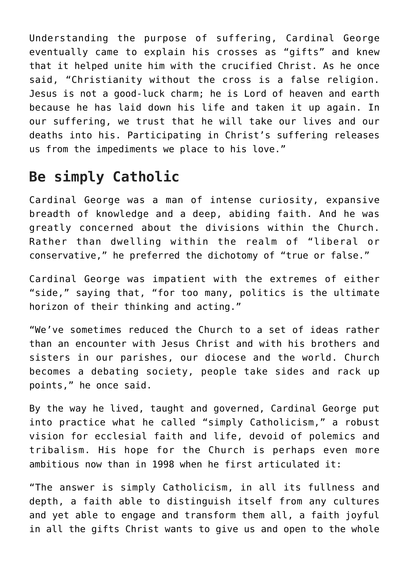Understanding the purpose of suffering, Cardinal George eventually came to explain his crosses as "gifts" and knew that it helped unite him with the crucified Christ. As he once said, "Christianity without the cross is a false religion. Jesus is not a good-luck charm; he is Lord of heaven and earth because he has laid down his life and taken it up again. In our suffering, we trust that he will take our lives and our deaths into his. Participating in Christ's suffering releases us from the impediments we place to his love."

## **Be simply Catholic**

Cardinal George was a man of intense curiosity, expansive breadth of knowledge and a deep, abiding faith. And he was greatly concerned about the divisions within the Church. Rather than dwelling within the realm of "liberal or conservative," he preferred the dichotomy of "true or false."

Cardinal George was impatient with the extremes of either "side," saying that, "for too many, politics is the ultimate horizon of their thinking and acting."

"We've sometimes reduced the Church to a set of ideas rather than an encounter with Jesus Christ and with his brothers and sisters in our parishes, our diocese and the world. Church becomes a debating society, people take sides and rack up points," he once said.

By the way he lived, taught and governed, Cardinal George put into practice what he called "simply Catholicism," a robust vision for ecclesial faith and life, devoid of polemics and tribalism. His hope for the Church is perhaps even more ambitious now than in 1998 when he first articulated it:

"The answer is simply Catholicism, in all its fullness and depth, a faith able to distinguish itself from any cultures and yet able to engage and transform them all, a faith joyful in all the gifts Christ wants to give us and open to the whole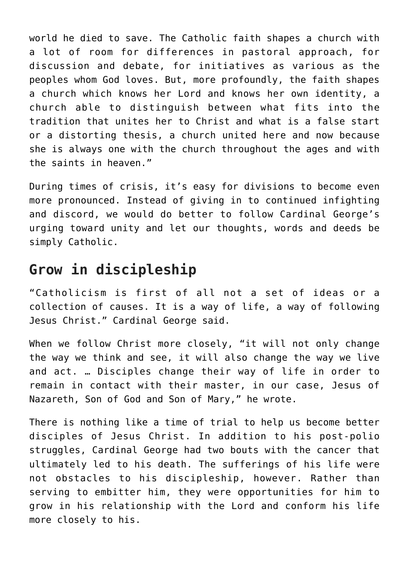world he died to save. The Catholic faith shapes a church with a lot of room for differences in pastoral approach, for discussion and debate, for initiatives as various as the peoples whom God loves. But, more profoundly, the faith shapes a church which knows her Lord and knows her own identity, a church able to distinguish between what fits into the tradition that unites her to Christ and what is a false start or a distorting thesis, a church united here and now because she is always one with the church throughout the ages and with the saints in heaven."

During times of crisis, it's easy for divisions to become even more pronounced. Instead of giving in to continued infighting and discord, we would do better to follow Cardinal George's urging toward unity and let our thoughts, words and deeds be simply Catholic.

## **Grow in discipleship**

"Catholicism is first of all not a set of ideas or a collection of causes. It is a way of life, a way of following Jesus Christ." Cardinal George said.

When we follow Christ more closely, "it will not only change the way we think and see, it will also change the way we live and act. … Disciples change their way of life in order to remain in contact with their master, in our case, Jesus of Nazareth, Son of God and Son of Mary," he wrote.

There is nothing like a time of trial to help us become better disciples of Jesus Christ. In addition to his post-polio struggles, Cardinal George had two bouts with the cancer that ultimately led to his death. The sufferings of his life were not obstacles to his discipleship, however. Rather than serving to embitter him, they were opportunities for him to grow in his relationship with the Lord and conform his life more closely to his.